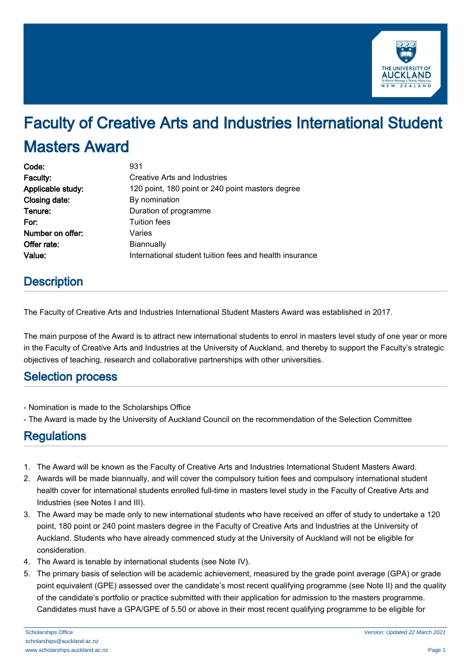

# Faculty of Creative Arts and Industries International Student Masters Award

| Code:             | 931                                                     |
|-------------------|---------------------------------------------------------|
| Faculty:          | Creative Arts and Industries                            |
| Applicable study: | 120 point, 180 point or 240 point masters degree        |
| Closing date:     | By nomination                                           |
| Tenure:           | Duration of programme                                   |
| For:              | <b>Tuition fees</b>                                     |
| Number on offer:  | Varies                                                  |
| Offer rate:       | <b>Biannually</b>                                       |
| Value:            | International student tuition fees and health insurance |
|                   |                                                         |

## **Description**

The Faculty of Creative Arts and Industries International Student Masters Award was established in 2017.

The main purpose of the Award is to attract new international students to enrol in masters level study of one year or more in the Faculty of Creative Arts and Industries at the University of Auckland, and thereby to support the Faculty's strategic objectives of teaching, research and collaborative partnerships with other universities.

#### Selection process

- Nomination is made to the Scholarships Office
- The Award is made by the University of Auckland Council on the recommendation of the Selection Committee

### **Regulations**

- 1. The Award will be known as the Faculty of Creative Arts and Industries International Student Masters Award.
- 2. Awards will be made biannually, and will cover the compulsory tuition fees and compulsory international student health cover for international students enrolled full-time in masters level study in the Faculty of Creative Arts and Industries (see Notes I and III).
- 3. The Award may be made only to new international students who have received an offer of study to undertake a 120 point, 180 point or 240 point masters degree in the Faculty of Creative Arts and Industries at the University of Auckland. Students who have already commenced study at the University of Auckland will not be eligible for consideration.
- 4. The Award is tenable by international students (see Note IV).
- 5. The primary basis of selection will be academic achievement, measured by the grade point average (GPA) or grade point equivalent (GPE) assessed over the candidate's most recent qualifying programme (see Note II) and the quality of the candidate's portfolio or practice submitted with their application for admission to the masters programme. Candidates must have a GPA/GPE of 5.50 or above in their most recent qualifying programme to be eligible for